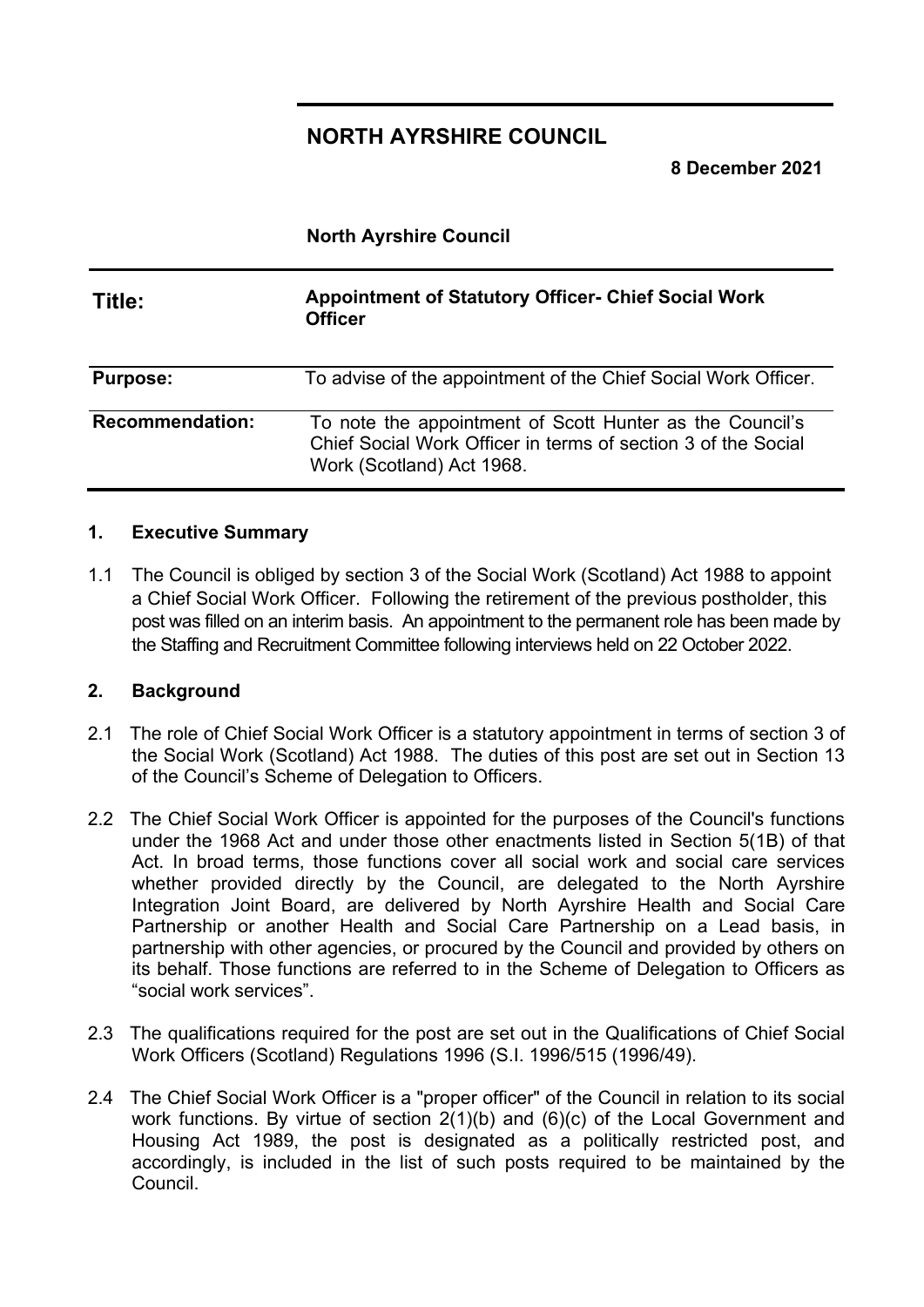# **NORTH AYRSHIRE COUNCIL**

**8 December 2021**

## **North Ayrshire Council**

| Title:                 | <b>Appointment of Statutory Officer- Chief Social Work</b><br><b>Officer</b>                                                                           |
|------------------------|--------------------------------------------------------------------------------------------------------------------------------------------------------|
| <b>Purpose:</b>        | To advise of the appointment of the Chief Social Work Officer.                                                                                         |
| <b>Recommendation:</b> | To note the appointment of Scott Hunter as the Council's<br>Chief Social Work Officer in terms of section 3 of the Social<br>Work (Scotland) Act 1968. |

## **1. Executive Summary**

1.1 The Council is obliged by section 3 of the Social Work (Scotland) Act 1988 to appoint a Chief Social Work Officer. Following the retirement of the previous postholder, this post was filled on an interim basis. An appointment to the permanent role has been made by the Staffing and Recruitment Committee following interviews held on 22 October 2022.

## **2. Background**

- 2.1 The role of Chief Social Work Officer is a statutory appointment in terms of section 3 of the Social Work (Scotland) Act 1988. The duties of this post are set out in Section 13 of the Council's Scheme of Delegation to Officers.
- 2.2 The Chief Social Work Officer is appointed for the purposes of the Council's functions under the 1968 Act and under those other enactments listed in Section 5(1B) of that Act. In broad terms, those functions cover all social work and social care services whether provided directly by the Council, are delegated to the North Ayrshire Integration Joint Board, are delivered by North Ayrshire Health and Social Care Partnership or another Health and Social Care Partnership on a Lead basis, in partnership with other agencies, or procured by the Council and provided by others on its behalf. Those functions are referred to in the Scheme of Delegation to Officers as "social work services".
- 2.3 The qualifications required for the post are set out in the Qualifications of Chief Social Work Officers (Scotland) Regulations 1996 (S.I. 1996/515 (1996/49).
- 2.4 The Chief Social Work Officer is a "proper officer" of the Council in relation to its social work functions. By virtue of section 2(1)(b) and (6)(c) of the Local Government and Housing Act 1989, the post is designated as a politically restricted post, and accordingly, is included in the list of such posts required to be maintained by the Council.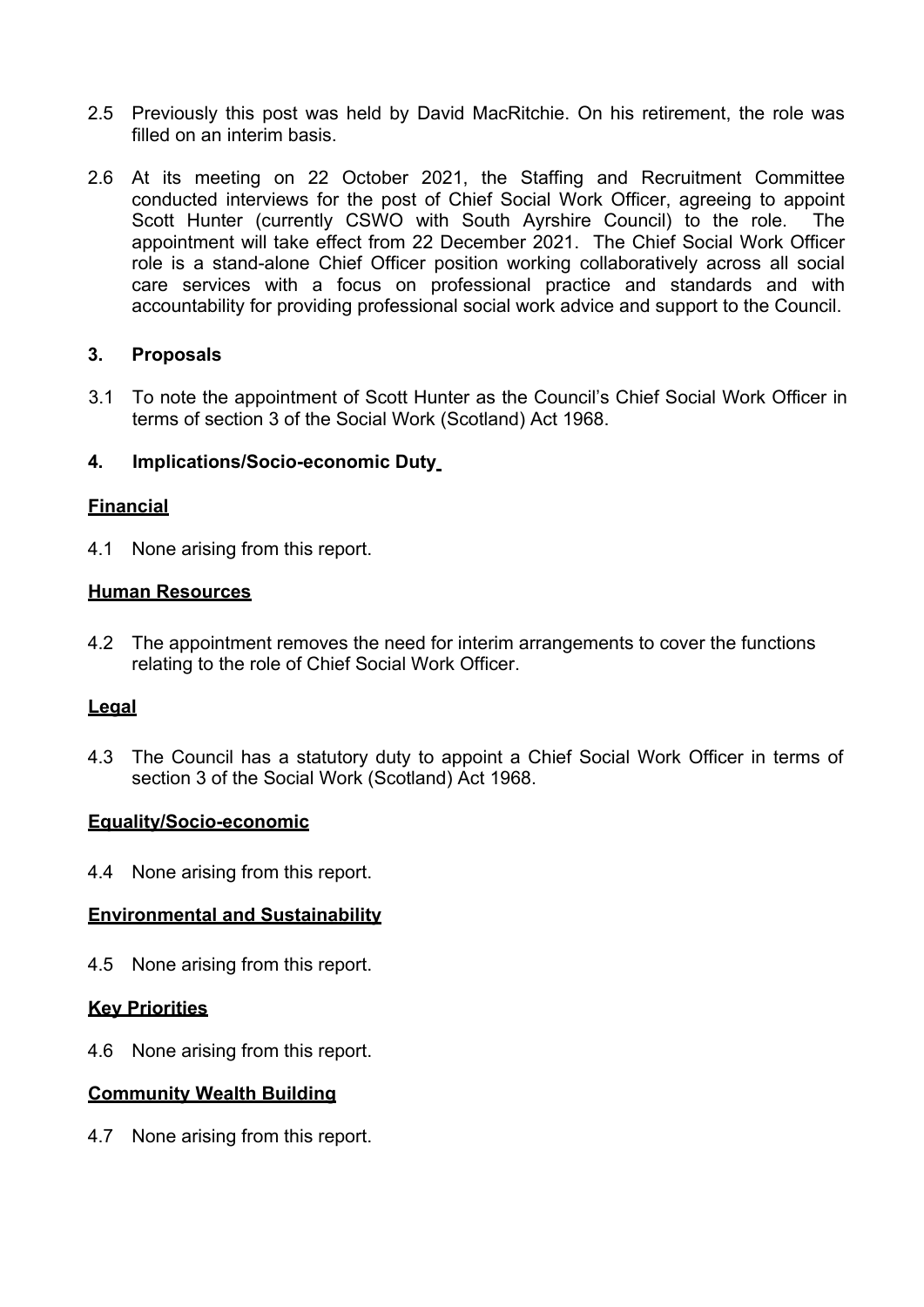- 2.5 Previously this post was held by David MacRitchie. On his retirement, the role was filled on an interim basis.
- 2.6 At its meeting on 22 October 2021, the Staffing and Recruitment Committee conducted interviews for the post of Chief Social Work Officer, agreeing to appoint Scott Hunter (currently CSWO with South Ayrshire Council) to the role. The appointment will take effect from 22 December 2021. The Chief Social Work Officer role is a stand-alone Chief Officer position working collaboratively across all social care services with a focus on professional practice and standards and with accountability for providing professional social work advice and support to the Council.

## **3. Proposals**

3.1 To note the appointment of Scott Hunter as the Council's Chief Social Work Officer in terms of section 3 of the Social Work (Scotland) Act 1968.

#### **4. Implications/Socio-economic Duty**

### **Financial**

4.1 None arising from this report.

#### **Human Resources**

4.2 The appointment removes the need for interim arrangements to cover the functions relating to the role of Chief Social Work Officer.

#### **Legal**

4.3 The Council has a statutory duty to appoint a Chief Social Work Officer in terms of section 3 of the Social Work (Scotland) Act 1968.

#### **Equality/Socio-economic**

4.4 None arising from this report.

#### **Environmental and Sustainability**

4.5 None arising from this report.

#### **Key Priorities**

4.6 None arising from this report.

#### **Community Wealth Building**

4.7 None arising from this report.